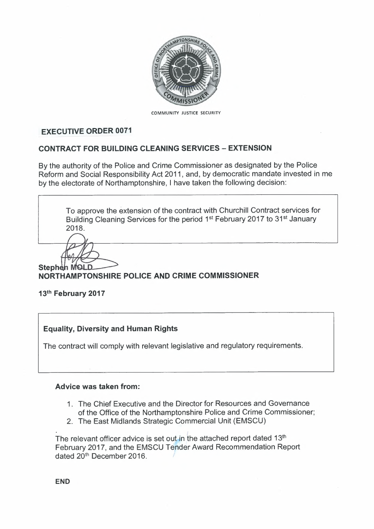

COMMUNITY JUSTICE SECURITY

#### **EXECUTIVE ORDER 0071**

#### **CONTRACT FOR BUILDING CLEANING SERVICES - EXTENSION**

By the authority of the Police and Crime Commissioner as designated by the Police Reform and Social Responsibility Act 2011, and, by democratic mandate invested in me by the electorate of Northamptonshire, I have taken the following decision:

To approve the extension of the contract with Churchill Contract services for Building Cleaning Services for the period 1<sup>st</sup> February 2017 to 31<sup>st</sup> January 2018.

**Stephen** MOLD

# **NORTHAMPTONSHIRE POLICE AND CRIME COMMISSIONER**

#### **13th February 2017**

#### **Equality, Diversity and Human Rights**

The contract will comply with relevant legislative and regulatory requirements.

#### **Advice was taken from:**

- 1. The Chief Executive and the Director for Resources and Governance of the Office of the Northamptonshire Police and Crime Commissioner;
- 2. The East Midlands Strategic Commercial Unit (EMSCU)

<u>.</u><br>In the contract of the contract of the contract of the contract of the contract of the contract of the contract of The relevant officer advice is set out in the attached report dated 13<sup>th</sup> February 2017, and the EMSCU Tender Award Recommendation Report dated 20<sup>th</sup> December 2016.

**END**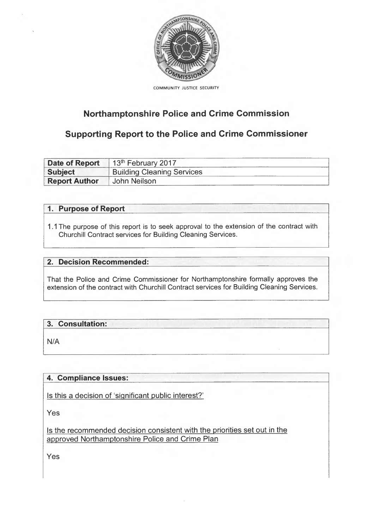

COMMUNITY JUSTICE SECURITY

# **Northamptonshire Police and Crime Commission**

# **Supporting Report to the Police and Crime Commissioner**

| <b>Date of Report</b> | $13th$ February 2017              |
|-----------------------|-----------------------------------|
| <b>Subject</b>        | <b>Building Cleaning Services</b> |
| <b>Report Author</b>  | John Neilson                      |

### 1. Purpose of Report

1.1 The purpose of this report is to seek approval to the extension of the contract with Churchill Contract services for Building Cleaning Services.

## **2. Decision** Recommended: :

That the Police and Crime Commissioner for Northamptonshire formally approves the extension of the contract with Churchill Contract services for Building Cleaning Services.

# 3. Consultation:

 $N/A$ 

# **4. Compliance Issues:**

Is this a decision of 'significant public interest?'

Yes

Is the recommended decision consistent with the priorities set out in the approved Northamptonshire Police and Crime Plan

Yes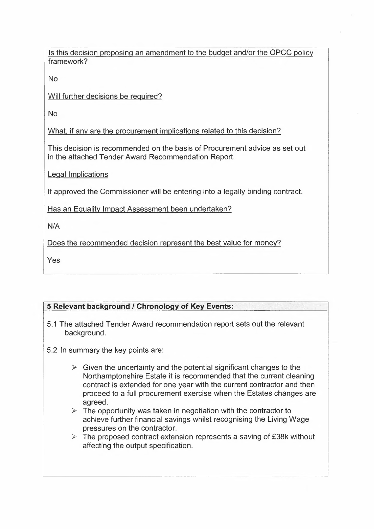Is this decision proposing an amendment to the budget and/or the OPCC policy framework?

No

Will further decisions be required?

No

What. if any are the procurement implications related to this decision?

This decision is recommended on the basis of Procurement advice as set out in the attached Tender Award Recommendation Report.

Legal Implications

If approved the Commissioner will be entering into a legally binding contract.

Has an Equality Impact Assessment been undertaken?

N/A

Does the recommended decision represent the best value for money?

Yes

### **5 Relevant background** *I* **Chronology of Key Events:** ;C,

- 5.1 The attached Tender Award recommendation report sets out the relevant background.
- 5.2 In summary the key points are:
	- $\triangleright$  Given the uncertainty and the potential significant changes to the Northamptonshire Estate it is recommended that the current cleaning contract is extended for one year with the current contractor and then proceed to a full procurement exercise when the Estates changes are agreed.
	- $\triangleright$  The opportunity was taken in negotiation with the contractor to achieve further financial savings whilst recognising the Living Wage pressures on the contractor.
	- $\triangleright$  The proposed contract extension represents a saving of £38k without affecting the output specification.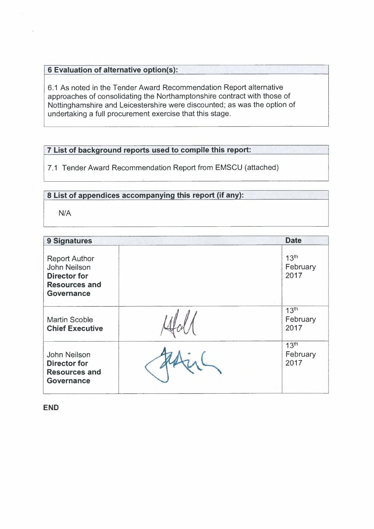# **6 Evaluation of alternative option(s):**

6.1 As noted in the Tender Award Recommendation Report alternative approaches of consolidating the Northamptonshire contract with those of Nottinghamshire and Leicestershire were discounted; as was the option of undertaking a full procurement exercise that this stage.

#### **7 List of background reports used to compile this report:**

7.1 Tender Award Recommendation Report from EMSCU (attached)

#### **8 List of appendices accompanying this report (if any):**

N/A

| 9 Signatures                                                                                                    | <b>Date</b>                          |
|-----------------------------------------------------------------------------------------------------------------|--------------------------------------|
| <b>Report Author</b><br><b>John Neilson</b><br><b>Director for</b><br><b>Resources and</b><br><b>Governance</b> | 13 <sup>th</sup><br>February<br>2017 |
| <b>Martin Scoble</b><br><b>Chief Executive</b>                                                                  | 13 <sup>th</sup><br>February<br>2017 |
| John Neilson<br><b>Director for</b><br><b>Resources and</b><br><b>Governance</b>                                | 13 <sup>th</sup><br>February<br>2017 |

**END**